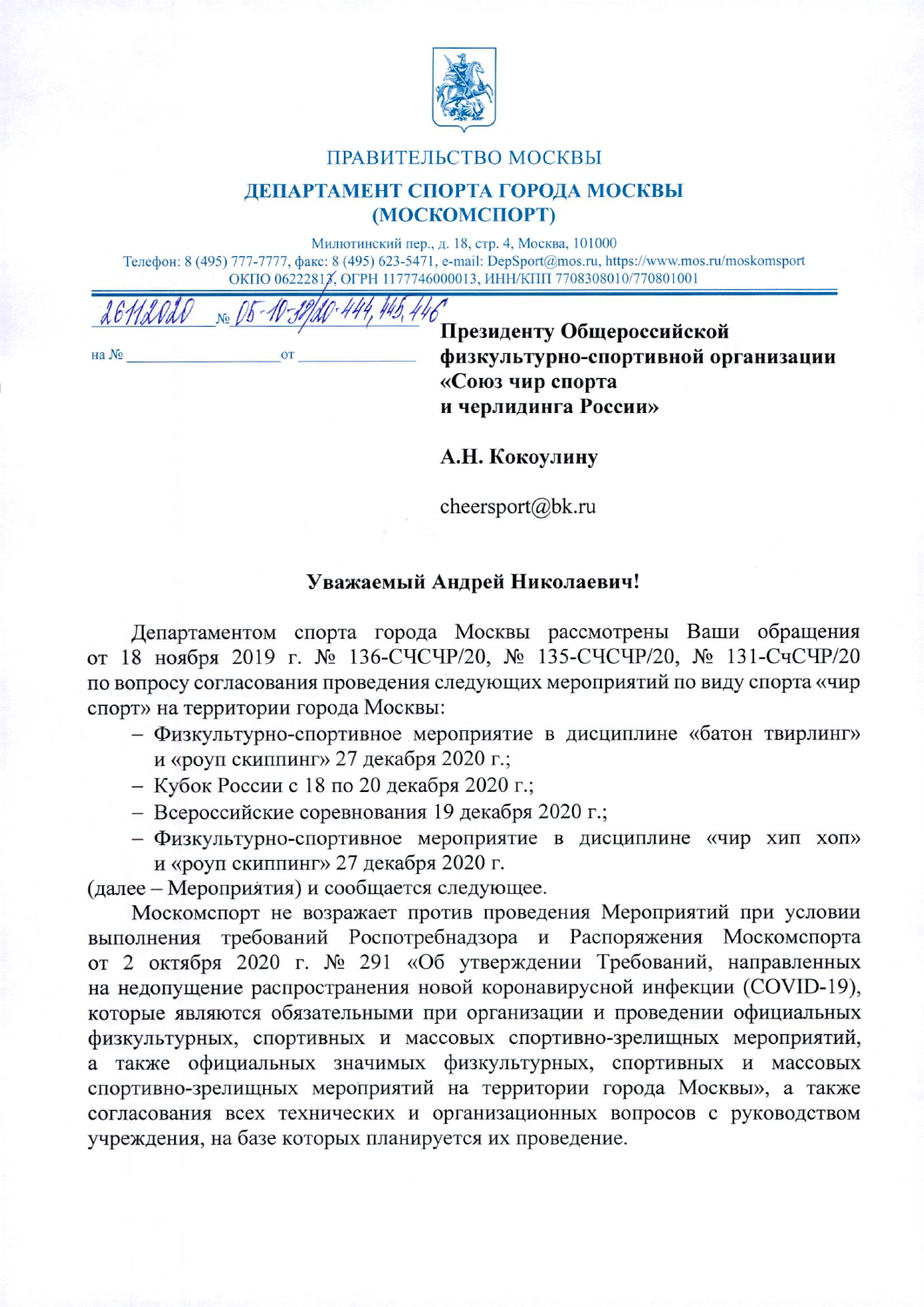

## ПРАВИТЕЛЬСТВО МОСКВЫ

## ДЕПАРТАМЕНТ СПОРТА ГОРОДА МОСКВЫ (МОСКОМСПОРТ)

Милютинский пер., д. 18, стр. 4, Москва, 101000 Телефон: 8 (495) 777-7777, факс: 8 (495) 623-5471, e-mail: DepSport@mos.ru, https://www.mos.ru/moskomsport ОКПО 06222817, ОГРН 1177746000013, ИНН/КПП 7708308010/770801001

на №

Президенту Общероссийской физкультурно-спортивной организации «Союз чир спорта и черлидинга России»

А.Н. Кокоулину

cheersport@bk.ru

## Уважаемый Андрей Николаевич!

Департаментом спорта города Москвы рассмотрены Ваши обращения от 18 ноября 2019 г. № 136-СЧСЧР/20, № 135-СЧСЧР/20, № 131-СчСЧР/20 по вопросу согласования проведения следующих мероприятий по виду спорта «чир спорт» на территории города Москвы:

- Физкультурно-спортивное мероприятие в дисциплине «батон твирлинг» и «роуп скиппинг» 27 декабря 2020 г.;
- Кубок России с 18 по 20 декабря 2020 г.;
- Всероссийские соревнования 19 декабря 2020 г.;
- Физкультурно-спортивное мероприятие в дисциплине «чир хип хоп» и «роуп скиппинг» 27 декабря 2020 г.

(далее – Мероприятия) и сообщается следующее.

Москомспорт не возражает против проведения Мероприятий при условии выполнения требований Роспотребнадзора и Распоряжения Москомспорта от 2 октября 2020 г. № 291 «Об утверждении Требований, направленных на недопущение распространения новой коронавирусной инфекции (COVID-19), которые являются обязательными при организации и проведении официальных физкультурных, спортивных и массовых спортивно-зрелищных мероприятий, а также официальных значимых физкультурных, спортивных и массовых спортивно-зрелищных мероприятий на территории города Москвы», а также согласования всех технических и организационных вопросов с руководством учреждения, на базе которых планируется их проведение.